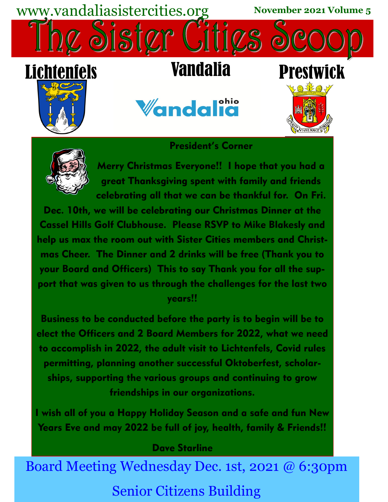

## President's Corner



Merry Christmas Everyone!! I hope that you had a great Thanksgiving spent with family and friends celebrating all that we can be thankful for. On Fri.

Dec. 10th, we will be celebrating our Christmas Dinner at the Cassel Hills Golf Clubhouse. Please RSVP to Mike Blakesly and help us max the room out with Sister Cities members and Christmas Cheer. The Dinner and 2 drinks will be free (Thank you to your Board and Officers) This to say Thank you for all the support that was given to us through the challenges for the last two years!!

Business to be conducted before the party is to begin will be to elect the Officers and 2 Board Members for 2022, what we need to accomplish in 2022, the adult visit to Lichtenfels, Covid rules permitting, planning another successful Oktoberfest, scholarships, supporting the various groups and continuing to grow friendships in our organizations.

I wish all of you a Happy Holiday Season and a safe and fun New Years Eve and may 2022 be full of joy, health, family & Friends!!

## Dave Starline

Board Meeting Wednesday Dec. 1st, 2021 @ 6:30pm Senior Citizens Building